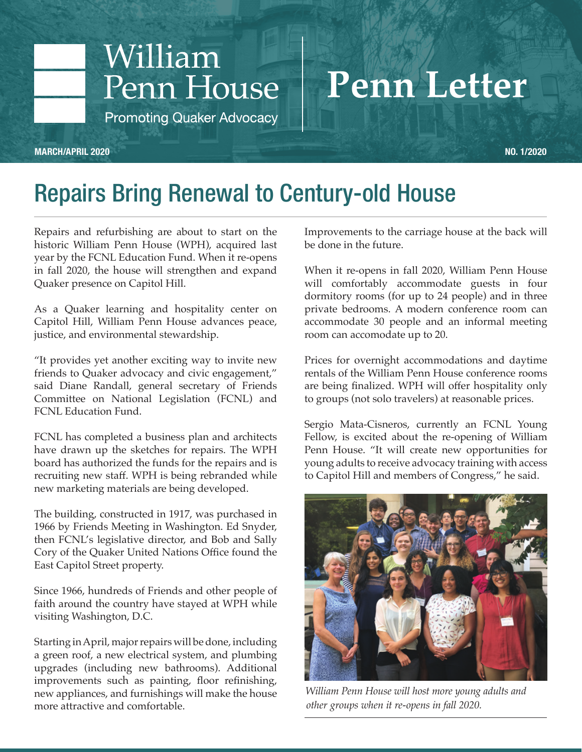## William Penn House

**Promoting Quaker Advocacy** 

## **Penn Letter**

**MARCH/APRIL 2020 NO. 1/2020**

## Repairs Bring Renewal to Century-old House

Repairs and refurbishing are about to start on the historic William Penn House (WPH), acquired last year by the FCNL Education Fund. When it re-opens in fall 2020, the house will strengthen and expand Quaker presence on Capitol Hill.

As a Quaker learning and hospitality center on Capitol Hill, William Penn House advances peace, justice, and environmental stewardship.

"It provides yet another exciting way to invite new friends to Quaker advocacy and civic engagement," said Diane Randall, general secretary of Friends Committee on National Legislation (FCNL) and FCNL Education Fund.

FCNL has completed a business plan and architects have drawn up the sketches for repairs. The WPH board has authorized the funds for the repairs and is recruiting new staff. WPH is being rebranded while new marketing materials are being developed.

The building, constructed in 1917, was purchased in 1966 by Friends Meeting in Washington. Ed Snyder, then FCNL's legislative director, and Bob and Sally Cory of the Quaker United Nations Office found the East Capitol Street property.

Since 1966, hundreds of Friends and other people of faith around the country have stayed at WPH while visiting Washington, D.C.

Starting in April, major repairs will be done, including a green roof, a new electrical system, and plumbing upgrades (including new bathrooms). Additional improvements such as painting, floor refinishing, new appliances, and furnishings will make the house more attractive and comfortable.

Improvements to the carriage house at the back will be done in the future.

When it re-opens in fall 2020, William Penn House will comfortably accommodate guests in four dormitory rooms (for up to 24 people) and in three private bedrooms. A modern conference room can accommodate 30 people and an informal meeting room can accomodate up to 20.

Prices for overnight accommodations and daytime rentals of the William Penn House conference rooms are being finalized. WPH will offer hospitality only to groups (not solo travelers) at reasonable prices.

Sergio Mata-Cisneros, currently an FCNL Young Fellow, is excited about the re-opening of William Penn House. "It will create new opportunities for young adults to receive advocacy training with access to Capitol Hill and members of Congress," he said.



*William Penn House will host more young adults and other groups when it re-opens in fall 2020.*